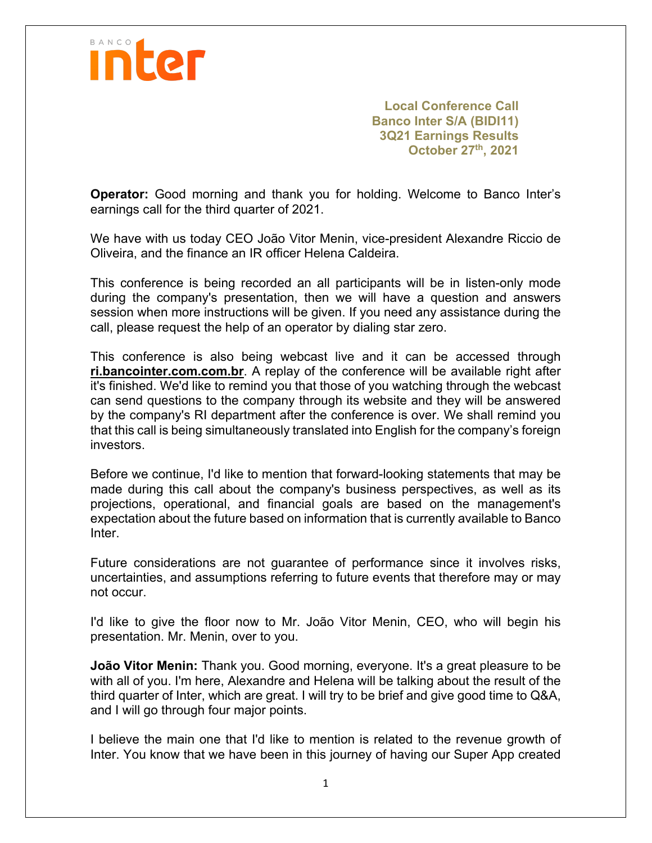

**Local Conference Call Banco Inter S/A (BIDI11) 3Q21 Earnings Results October 27th, 2021**

**Operator:** Good morning and thank you for holding. Welcome to Banco Inter's earnings call for the third quarter of 2021.

We have with us today CEO João Vitor Menin, vice-president Alexandre Riccio de Oliveira, and the finance an IR officer Helena Caldeira.

This conference is being recorded an all participants will be in listen-only mode during the company's presentation, then we will have a question and answers session when more instructions will be given. If you need any assistance during the call, please request the help of an operator by dialing star zero.

This conference is also being webcast live and it can be accessed through **ri.bancointer.com.com.br**. A replay of the conference will be available right after it's finished. We'd like to remind you that those of you watching through the webcast can send questions to the company through its website and they will be answered by the company's RI department after the conference is over. We shall remind you that this call is being simultaneously translated into English for the company's foreign investors.

Before we continue, I'd like to mention that forward-looking statements that may be made during this call about the company's business perspectives, as well as its projections, operational, and financial goals are based on the management's expectation about the future based on information that is currently available to Banco Inter.

Future considerations are not guarantee of performance since it involves risks, uncertainties, and assumptions referring to future events that therefore may or may not occur.

I'd like to give the floor now to Mr. João Vitor Menin, CEO, who will begin his presentation. Mr. Menin, over to you.

**João Vitor Menin:** Thank you. Good morning, everyone. It's a great pleasure to be with all of you. I'm here, Alexandre and Helena will be talking about the result of the third quarter of Inter, which are great. I will try to be brief and give good time to Q&A, and I will go through four major points.

I believe the main one that I'd like to mention is related to the revenue growth of Inter. You know that we have been in this journey of having our Super App created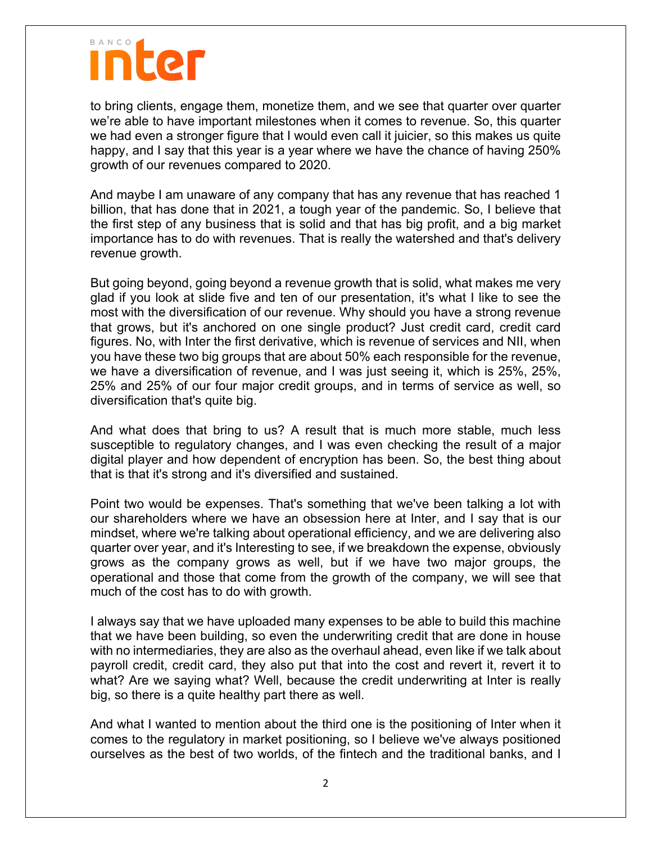## **inter**

to bring clients, engage them, monetize them, and we see that quarter over quarter we're able to have important milestones when it comes to revenue. So, this quarter we had even a stronger figure that I would even call it juicier, so this makes us quite happy, and I say that this year is a year where we have the chance of having 250% growth of our revenues compared to 2020.

And maybe I am unaware of any company that has any revenue that has reached 1 billion, that has done that in 2021, a tough year of the pandemic. So, I believe that the first step of any business that is solid and that has big profit, and a big market importance has to do with revenues. That is really the watershed and that's delivery revenue growth.

But going beyond, going beyond a revenue growth that is solid, what makes me very glad if you look at slide five and ten of our presentation, it's what I like to see the most with the diversification of our revenue. Why should you have a strong revenue that grows, but it's anchored on one single product? Just credit card, credit card figures. No, with Inter the first derivative, which is revenue of services and NII, when you have these two big groups that are about 50% each responsible for the revenue, we have a diversification of revenue, and I was just seeing it, which is 25%, 25%, 25% and 25% of our four major credit groups, and in terms of service as well, so diversification that's quite big.

And what does that bring to us? A result that is much more stable, much less susceptible to regulatory changes, and I was even checking the result of a major digital player and how dependent of encryption has been. So, the best thing about that is that it's strong and it's diversified and sustained.

Point two would be expenses. That's something that we've been talking a lot with our shareholders where we have an obsession here at Inter, and I say that is our mindset, where we're talking about operational efficiency, and we are delivering also quarter over year, and it's Interesting to see, if we breakdown the expense, obviously grows as the company grows as well, but if we have two major groups, the operational and those that come from the growth of the company, we will see that much of the cost has to do with growth.

I always say that we have uploaded many expenses to be able to build this machine that we have been building, so even the underwriting credit that are done in house with no intermediaries, they are also as the overhaul ahead, even like if we talk about payroll credit, credit card, they also put that into the cost and revert it, revert it to what? Are we saying what? Well, because the credit underwriting at Inter is really big, so there is a quite healthy part there as well.

And what I wanted to mention about the third one is the positioning of Inter when it comes to the regulatory in market positioning, so I believe we've always positioned ourselves as the best of two worlds, of the fintech and the traditional banks, and I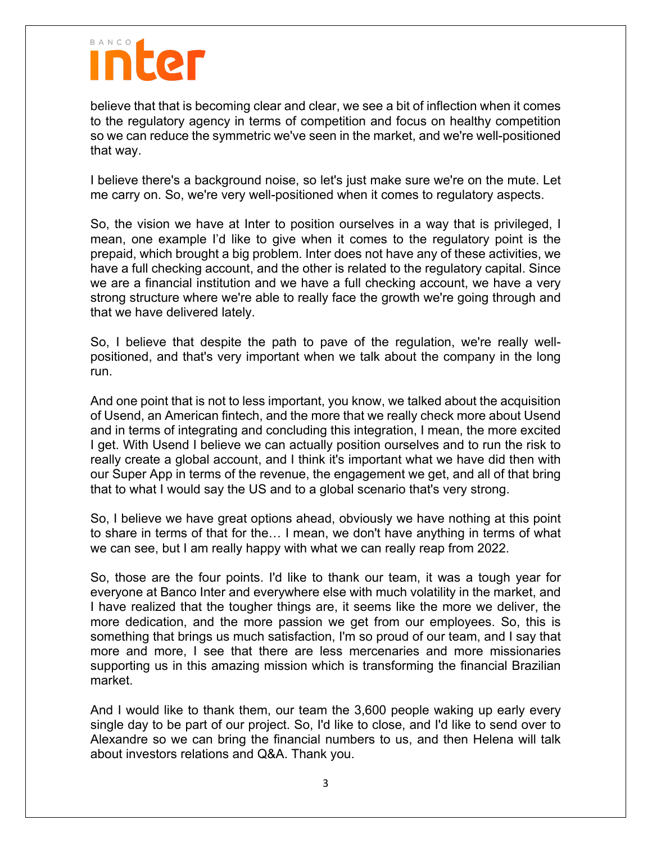believe that that is becoming clear and clear, we see a bit of inflection when it comes to the regulatory agency in terms of competition and focus on healthy competition so we can reduce the symmetric we've seen in the market, and we're well-positioned that way.

I believe there's a background noise, so let's just make sure we're on the mute. Let me carry on. So, we're very well-positioned when it comes to regulatory aspects.

So, the vision we have at Inter to position ourselves in a way that is privileged, I mean, one example I'd like to give when it comes to the regulatory point is the prepaid, which brought a big problem. Inter does not have any of these activities, we have a full checking account, and the other is related to the regulatory capital. Since we are a financial institution and we have a full checking account, we have a very strong structure where we're able to really face the growth we're going through and that we have delivered lately.

So, I believe that despite the path to pave of the regulation, we're really wellpositioned, and that's very important when we talk about the company in the long run.

And one point that is not to less important, you know, we talked about the acquisition of Usend, an American fintech, and the more that we really check more about Usend and in terms of integrating and concluding this integration, I mean, the more excited I get. With Usend I believe we can actually position ourselves and to run the risk to really create a global account, and I think it's important what we have did then with our Super App in terms of the revenue, the engagement we get, and all of that bring that to what I would say the US and to a global scenario that's very strong.

So, I believe we have great options ahead, obviously we have nothing at this point to share in terms of that for the… I mean, we don't have anything in terms of what we can see, but I am really happy with what we can really reap from 2022.

So, those are the four points. I'd like to thank our team, it was a tough year for everyone at Banco Inter and everywhere else with much volatility in the market, and I have realized that the tougher things are, it seems like the more we deliver, the more dedication, and the more passion we get from our employees. So, this is something that brings us much satisfaction, I'm so proud of our team, and I say that more and more, I see that there are less mercenaries and more missionaries supporting us in this amazing mission which is transforming the financial Brazilian market.

And I would like to thank them, our team the 3,600 people waking up early every single day to be part of our project. So, I'd like to close, and I'd like to send over to Alexandre so we can bring the financial numbers to us, and then Helena will talk about investors relations and Q&A. Thank you.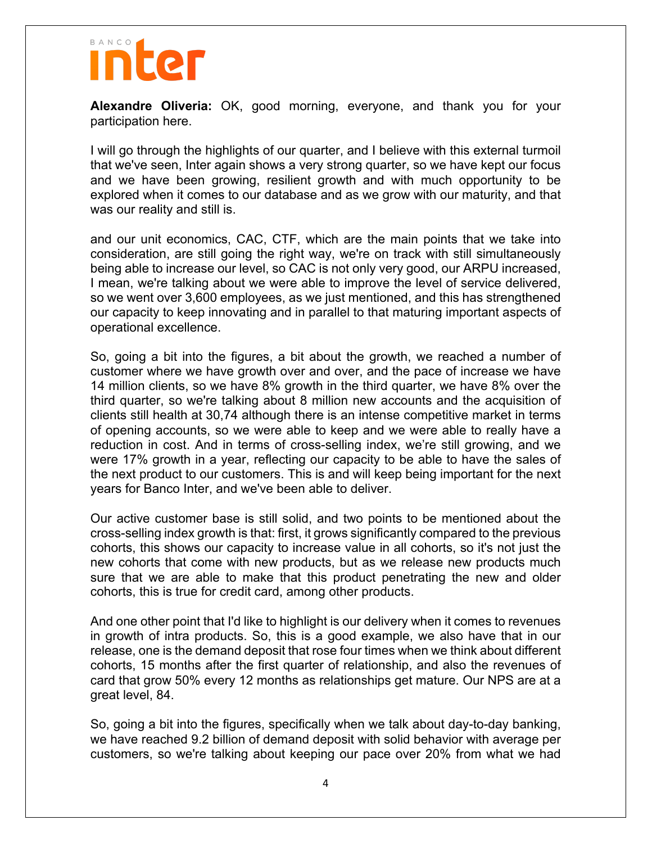### nter

**Alexandre Oliveria:** OK, good morning, everyone, and thank you for your participation here.

I will go through the highlights of our quarter, and I believe with this external turmoil that we've seen, Inter again shows a very strong quarter, so we have kept our focus and we have been growing, resilient growth and with much opportunity to be explored when it comes to our database and as we grow with our maturity, and that was our reality and still is.

and our unit economics, CAC, CTF, which are the main points that we take into consideration, are still going the right way, we're on track with still simultaneously being able to increase our level, so CAC is not only very good, our ARPU increased, I mean, we're talking about we were able to improve the level of service delivered, so we went over 3,600 employees, as we just mentioned, and this has strengthened our capacity to keep innovating and in parallel to that maturing important aspects of operational excellence.

So, going a bit into the figures, a bit about the growth, we reached a number of customer where we have growth over and over, and the pace of increase we have 14 million clients, so we have 8% growth in the third quarter, we have 8% over the third quarter, so we're talking about 8 million new accounts and the acquisition of clients still health at 30,74 although there is an intense competitive market in terms of opening accounts, so we were able to keep and we were able to really have a reduction in cost. And in terms of cross-selling index, we're still growing, and we were 17% growth in a year, reflecting our capacity to be able to have the sales of the next product to our customers. This is and will keep being important for the next years for Banco Inter, and we've been able to deliver.

Our active customer base is still solid, and two points to be mentioned about the cross-selling index growth is that: first, it grows significantly compared to the previous cohorts, this shows our capacity to increase value in all cohorts, so it's not just the new cohorts that come with new products, but as we release new products much sure that we are able to make that this product penetrating the new and older cohorts, this is true for credit card, among other products.

And one other point that I'd like to highlight is our delivery when it comes to revenues in growth of intra products. So, this is a good example, we also have that in our release, one is the demand deposit that rose four times when we think about different cohorts, 15 months after the first quarter of relationship, and also the revenues of card that grow 50% every 12 months as relationships get mature. Our NPS are at a great level, 84.

So, going a bit into the figures, specifically when we talk about day-to-day banking, we have reached 9.2 billion of demand deposit with solid behavior with average per customers, so we're talking about keeping our pace over 20% from what we had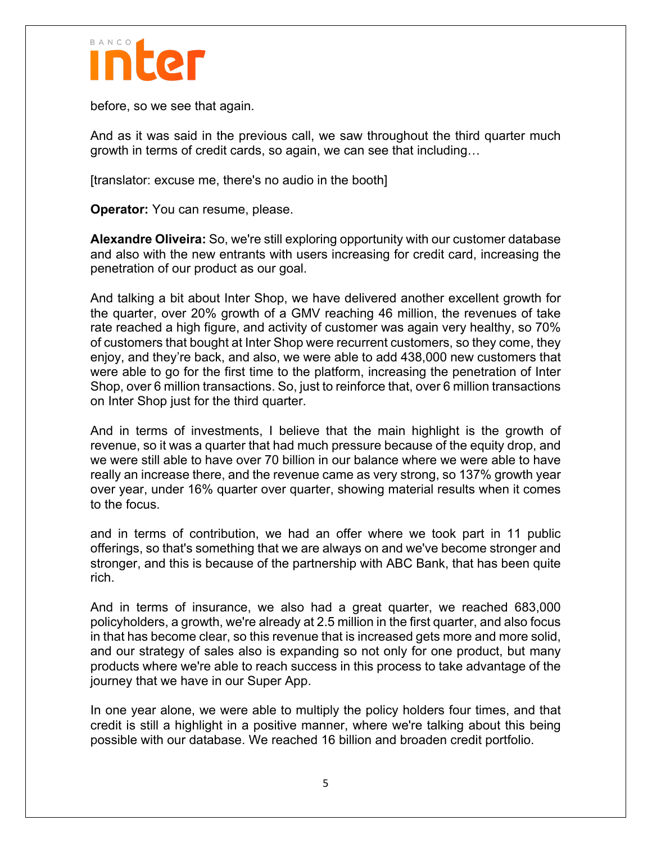

before, so we see that again.

And as it was said in the previous call, we saw throughout the third quarter much growth in terms of credit cards, so again, we can see that including…

[translator: excuse me, there's no audio in the booth]

**Operator:** You can resume, please.

**Alexandre Oliveira:** So, we're still exploring opportunity with our customer database and also with the new entrants with users increasing for credit card, increasing the penetration of our product as our goal.

And talking a bit about Inter Shop, we have delivered another excellent growth for the quarter, over 20% growth of a GMV reaching 46 million, the revenues of take rate reached a high figure, and activity of customer was again very healthy, so 70% of customers that bought at Inter Shop were recurrent customers, so they come, they enjoy, and they're back, and also, we were able to add 438,000 new customers that were able to go for the first time to the platform, increasing the penetration of Inter Shop, over 6 million transactions. So, just to reinforce that, over 6 million transactions on Inter Shop just for the third quarter.

And in terms of investments, I believe that the main highlight is the growth of revenue, so it was a quarter that had much pressure because of the equity drop, and we were still able to have over 70 billion in our balance where we were able to have really an increase there, and the revenue came as very strong, so 137% growth year over year, under 16% quarter over quarter, showing material results when it comes to the focus.

and in terms of contribution, we had an offer where we took part in 11 public offerings, so that's something that we are always on and we've become stronger and stronger, and this is because of the partnership with ABC Bank, that has been quite rich.

And in terms of insurance, we also had a great quarter, we reached 683,000 policyholders, a growth, we're already at 2.5 million in the first quarter, and also focus in that has become clear, so this revenue that is increased gets more and more solid, and our strategy of sales also is expanding so not only for one product, but many products where we're able to reach success in this process to take advantage of the journey that we have in our Super App.

In one year alone, we were able to multiply the policy holders four times, and that credit is still a highlight in a positive manner, where we're talking about this being possible with our database. We reached 16 billion and broaden credit portfolio.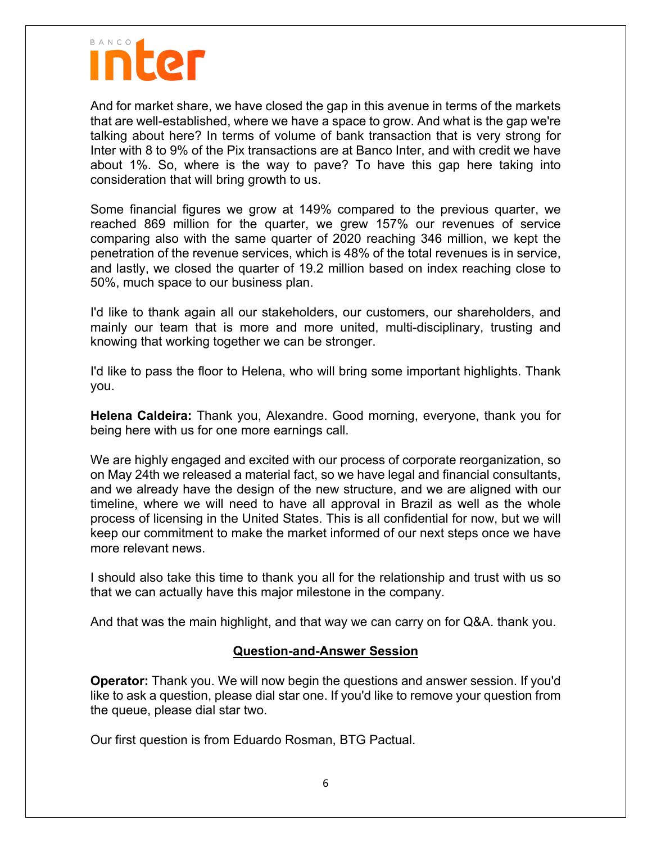

And for market share, we have closed the gap in this avenue in terms of the markets that are well-established, where we have a space to grow. And what is the gap we're talking about here? In terms of volume of bank transaction that is very strong for Inter with 8 to 9% of the Pix transactions are at Banco Inter, and with credit we have about 1%. So, where is the way to pave? To have this gap here taking into consideration that will bring growth to us.

Some financial figures we grow at 149% compared to the previous quarter, we reached 869 million for the quarter, we grew 157% our revenues of service comparing also with the same quarter of 2020 reaching 346 million, we kept the penetration of the revenue services, which is 48% of the total revenues is in service, and lastly, we closed the quarter of 19.2 million based on index reaching close to 50%, much space to our business plan.

I'd like to thank again all our stakeholders, our customers, our shareholders, and mainly our team that is more and more united, multi-disciplinary, trusting and knowing that working together we can be stronger.

I'd like to pass the floor to Helena, who will bring some important highlights. Thank you.

**Helena Caldeira:** Thank you, Alexandre. Good morning, everyone, thank you for being here with us for one more earnings call.

We are highly engaged and excited with our process of corporate reorganization, so on May 24th we released a material fact, so we have legal and financial consultants, and we already have the design of the new structure, and we are aligned with our timeline, where we will need to have all approval in Brazil as well as the whole process of licensing in the United States. This is all confidential for now, but we will keep our commitment to make the market informed of our next steps once we have more relevant news.

I should also take this time to thank you all for the relationship and trust with us so that we can actually have this major milestone in the company.

And that was the main highlight, and that way we can carry on for Q&A. thank you.

#### **Question-and-Answer Session**

**Operator:** Thank you. We will now begin the questions and answer session. If you'd like to ask a question, please dial star one. If you'd like to remove your question from the queue, please dial star two.

Our first question is from Eduardo Rosman, BTG Pactual.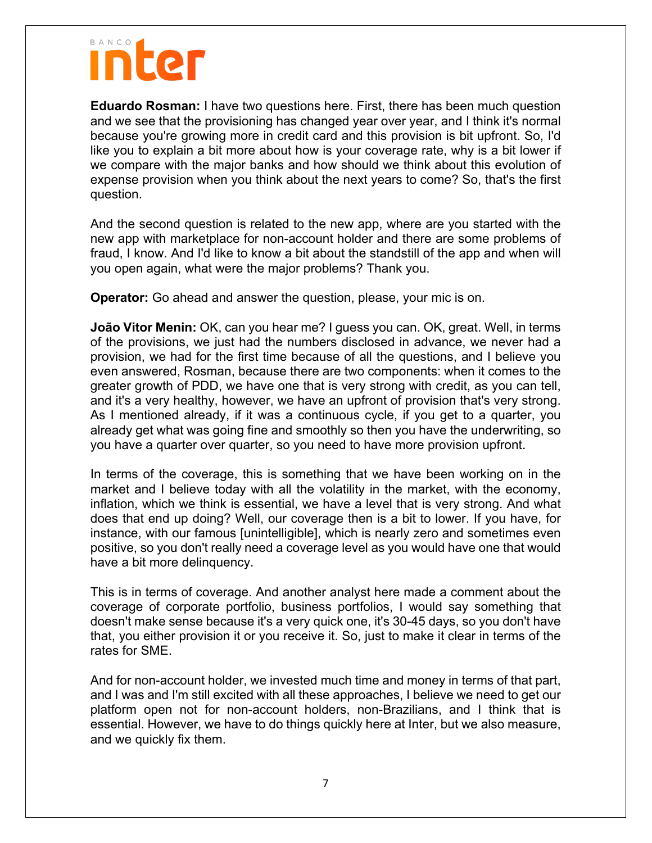**Eduardo Rosman:** I have two questions here. First, there has been much question and we see that the provisioning has changed year over year, and I think it's normal because you're growing more in credit card and this provision is bit upfront. So, I'd like you to explain a bit more about how is your coverage rate, why is a bit lower if we compare with the major banks and how should we think about this evolution of expense provision when you think about the next years to come? So, that's the first question.

And the second question is related to the new app, where are you started with the new app with marketplace for non-account holder and there are some problems of fraud, I know. And I'd like to know a bit about the standstill of the app and when will you open again, what were the major problems? Thank you.

**Operator:** Go ahead and answer the question, please, your mic is on.

**João Vitor Menin:** OK, can you hear me? I guess you can. OK, great. Well, in terms of the provisions, we just had the numbers disclosed in advance, we never had a provision, we had for the first time because of all the questions, and I believe you even answered, Rosman, because there are two components: when it comes to the greater growth of PDD, we have one that is very strong with credit, as you can tell, and it's a very healthy, however, we have an upfront of provision that's very strong. As I mentioned already, if it was a continuous cycle, if you get to a quarter, you already get what was going fine and smoothly so then you have the underwriting, so you have a quarter over quarter, so you need to have more provision upfront.

In terms of the coverage, this is something that we have been working on in the market and I believe today with all the volatility in the market, with the economy, inflation, which we think is essential, we have a level that is very strong. And what does that end up doing? Well, our coverage then is a bit to lower. If you have, for instance, with our famous [unintelligible], which is nearly zero and sometimes even positive, so you don't really need a coverage level as you would have one that would have a bit more delinquency.

This is in terms of coverage. And another analyst here made a comment about the coverage of corporate portfolio, business portfolios, I would say something that doesn't make sense because it's a very quick one, it's 30-45 days, so you don't have that, you either provision it or you receive it. So, just to make it clear in terms of the rates for SME.

And for non-account holder, we invested much time and money in terms of that part, and I was and I'm still excited with all these approaches, I believe we need to get our platform open not for non-account holders, non-Brazilians, and I think that is essential. However, we have to do things quickly here at Inter, but we also measure, and we quickly fix them.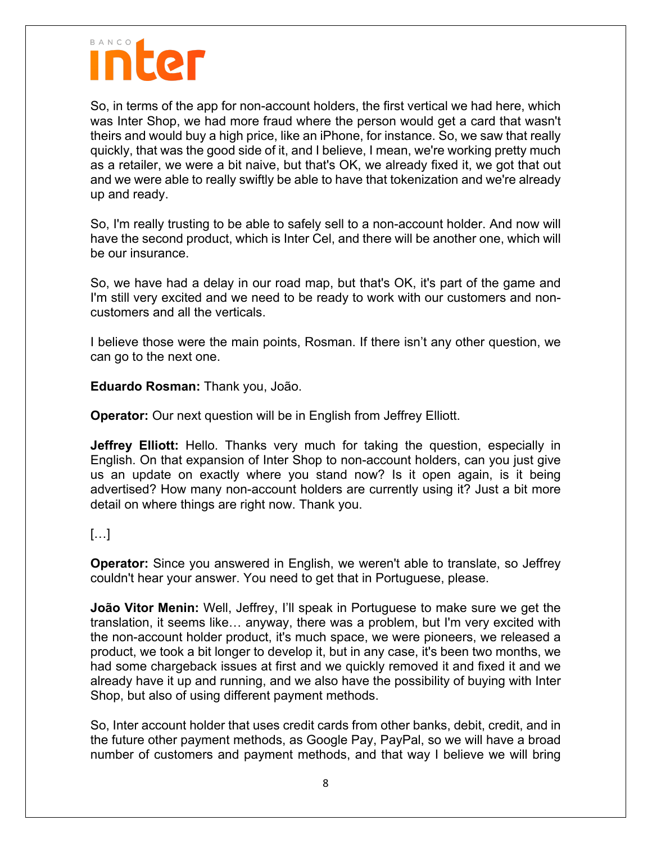## nter

So, in terms of the app for non-account holders, the first vertical we had here, which was Inter Shop, we had more fraud where the person would get a card that wasn't theirs and would buy a high price, like an iPhone, for instance. So, we saw that really quickly, that was the good side of it, and I believe, I mean, we're working pretty much as a retailer, we were a bit naive, but that's OK, we already fixed it, we got that out and we were able to really swiftly be able to have that tokenization and we're already up and ready.

So, I'm really trusting to be able to safely sell to a non-account holder. And now will have the second product, which is Inter Cel, and there will be another one, which will be our insurance.

So, we have had a delay in our road map, but that's OK, it's part of the game and I'm still very excited and we need to be ready to work with our customers and noncustomers and all the verticals.

I believe those were the main points, Rosman. If there isn't any other question, we can go to the next one.

**Eduardo Rosman:** Thank you, João.

**Operator:** Our next question will be in English from Jeffrey Elliott.

**Jeffrey Elliott:** Hello. Thanks very much for taking the question, especially in English. On that expansion of Inter Shop to non-account holders, can you just give us an update on exactly where you stand now? Is it open again, is it being advertised? How many non-account holders are currently using it? Just a bit more detail on where things are right now. Thank you.

### […]

**Operator:** Since you answered in English, we weren't able to translate, so Jeffrey couldn't hear your answer. You need to get that in Portuguese, please.

**João Vitor Menin:** Well, Jeffrey, I'll speak in Portuguese to make sure we get the translation, it seems like… anyway, there was a problem, but I'm very excited with the non-account holder product, it's much space, we were pioneers, we released a product, we took a bit longer to develop it, but in any case, it's been two months, we had some chargeback issues at first and we quickly removed it and fixed it and we already have it up and running, and we also have the possibility of buying with Inter Shop, but also of using different payment methods.

So, Inter account holder that uses credit cards from other banks, debit, credit, and in the future other payment methods, as Google Pay, PayPal, so we will have a broad number of customers and payment methods, and that way I believe we will bring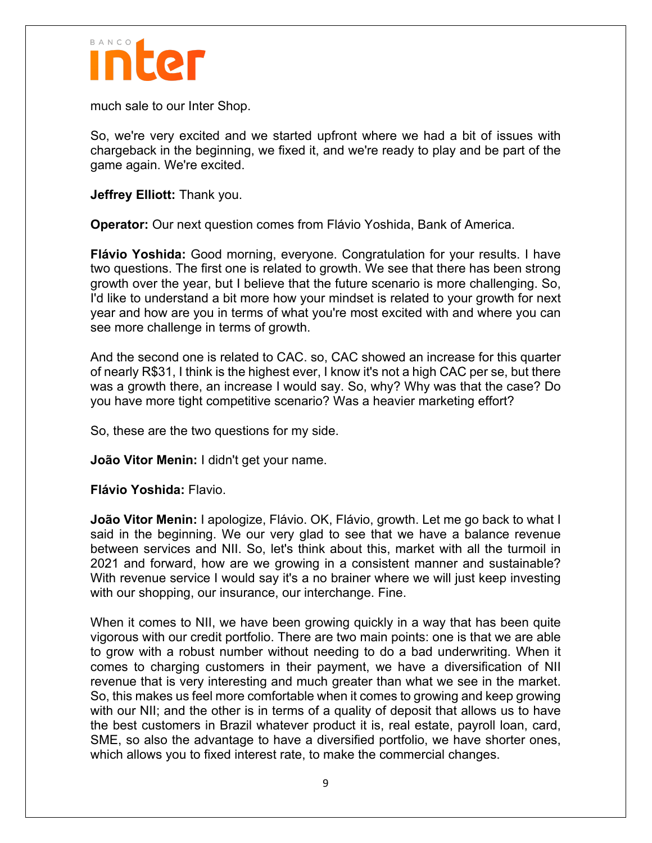

much sale to our Inter Shop.

So, we're very excited and we started upfront where we had a bit of issues with chargeback in the beginning, we fixed it, and we're ready to play and be part of the game again. We're excited.

**Jeffrey Elliott:** Thank you.

**Operator:** Our next question comes from Flávio Yoshida, Bank of America.

**Flávio Yoshida:** Good morning, everyone. Congratulation for your results. I have two questions. The first one is related to growth. We see that there has been strong growth over the year, but I believe that the future scenario is more challenging. So, I'd like to understand a bit more how your mindset is related to your growth for next year and how are you in terms of what you're most excited with and where you can see more challenge in terms of growth.

And the second one is related to CAC. so, CAC showed an increase for this quarter of nearly R\$31, I think is the highest ever, I know it's not a high CAC per se, but there was a growth there, an increase I would say. So, why? Why was that the case? Do you have more tight competitive scenario? Was a heavier marketing effort?

So, these are the two questions for my side.

**João Vitor Menin:** I didn't get your name.

**Flávio Yoshida:** Flavio.

**João Vitor Menin:** I apologize, Flávio. OK, Flávio, growth. Let me go back to what I said in the beginning. We our very glad to see that we have a balance revenue between services and NII. So, let's think about this, market with all the turmoil in 2021 and forward, how are we growing in a consistent manner and sustainable? With revenue service I would say it's a no brainer where we will just keep investing with our shopping, our insurance, our interchange. Fine.

When it comes to NII, we have been growing quickly in a way that has been quite vigorous with our credit portfolio. There are two main points: one is that we are able to grow with a robust number without needing to do a bad underwriting. When it comes to charging customers in their payment, we have a diversification of NII revenue that is very interesting and much greater than what we see in the market. So, this makes us feel more comfortable when it comes to growing and keep growing with our NII; and the other is in terms of a quality of deposit that allows us to have the best customers in Brazil whatever product it is, real estate, payroll loan, card, SME, so also the advantage to have a diversified portfolio, we have shorter ones, which allows you to fixed interest rate, to make the commercial changes.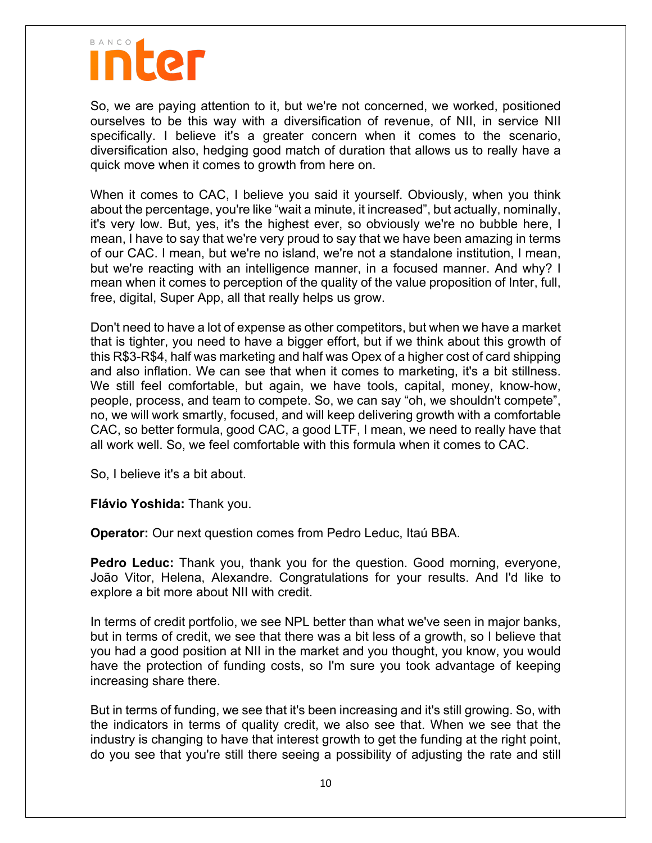So, we are paying attention to it, but we're not concerned, we worked, positioned ourselves to be this way with a diversification of revenue, of NII, in service NII specifically. I believe it's a greater concern when it comes to the scenario, diversification also, hedging good match of duration that allows us to really have a quick move when it comes to growth from here on.

When it comes to CAC, I believe you said it yourself. Obviously, when you think about the percentage, you're like "wait a minute, it increased", but actually, nominally, it's very low. But, yes, it's the highest ever, so obviously we're no bubble here, I mean, I have to say that we're very proud to say that we have been amazing in terms of our CAC. I mean, but we're no island, we're not a standalone institution, I mean, but we're reacting with an intelligence manner, in a focused manner. And why? I mean when it comes to perception of the quality of the value proposition of Inter, full, free, digital, Super App, all that really helps us grow.

Don't need to have a lot of expense as other competitors, but when we have a market that is tighter, you need to have a bigger effort, but if we think about this growth of this R\$3-R\$4, half was marketing and half was Opex of a higher cost of card shipping and also inflation. We can see that when it comes to marketing, it's a bit stillness. We still feel comfortable, but again, we have tools, capital, money, know-how, people, process, and team to compete. So, we can say "oh, we shouldn't compete", no, we will work smartly, focused, and will keep delivering growth with a comfortable CAC, so better formula, good CAC, a good LTF, I mean, we need to really have that all work well. So, we feel comfortable with this formula when it comes to CAC.

So, I believe it's a bit about.

**Flávio Yoshida:** Thank you.

**Operator:** Our next question comes from Pedro Leduc, Itaú BBA.

**Pedro Leduc:** Thank you, thank you for the question. Good morning, everyone, João Vitor, Helena, Alexandre. Congratulations for your results. And I'd like to explore a bit more about NII with credit.

In terms of credit portfolio, we see NPL better than what we've seen in major banks, but in terms of credit, we see that there was a bit less of a growth, so I believe that you had a good position at NII in the market and you thought, you know, you would have the protection of funding costs, so I'm sure you took advantage of keeping increasing share there.

But in terms of funding, we see that it's been increasing and it's still growing. So, with the indicators in terms of quality credit, we also see that. When we see that the industry is changing to have that interest growth to get the funding at the right point, do you see that you're still there seeing a possibility of adjusting the rate and still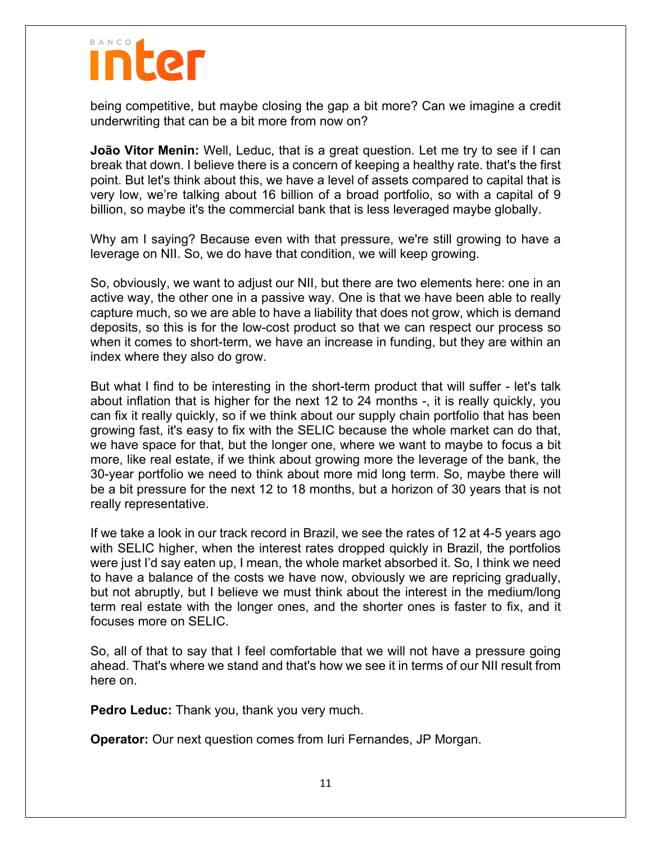being competitive, but maybe closing the gap a bit more? Can we imagine a credit underwriting that can be a bit more from now on?

**João Vitor Menin:** Well, Leduc, that is a great question. Let me try to see if I can break that down. I believe there is a concern of keeping a healthy rate. that's the first point. But let's think about this, we have a level of assets compared to capital that is very low, we're talking about 16 billion of a broad portfolio, so with a capital of 9 billion, so maybe it's the commercial bank that is less leveraged maybe globally.

Why am I saying? Because even with that pressure, we're still growing to have a leverage on NII. So, we do have that condition, we will keep growing.

So, obviously, we want to adjust our NII, but there are two elements here: one in an active way, the other one in a passive way. One is that we have been able to really capture much, so we are able to have a liability that does not grow, which is demand deposits, so this is for the low-cost product so that we can respect our process so when it comes to short-term, we have an increase in funding, but they are within an index where they also do grow.

But what I find to be interesting in the short-term product that will suffer - let's talk about inflation that is higher for the next 12 to 24 months -, it is really quickly, you can fix it really quickly, so if we think about our supply chain portfolio that has been growing fast, it's easy to fix with the SELIC because the whole market can do that, we have space for that, but the longer one, where we want to maybe to focus a bit more, like real estate, if we think about growing more the leverage of the bank, the 30-year portfolio we need to think about more mid long term. So, maybe there will be a bit pressure for the next 12 to 18 months, but a horizon of 30 years that is not really representative.

If we take a look in our track record in Brazil, we see the rates of 12 at 4-5 years ago with SELIC higher, when the interest rates dropped quickly in Brazil, the portfolios were just I'd say eaten up, I mean, the whole market absorbed it. So, I think we need to have a balance of the costs we have now, obviously we are repricing gradually, but not abruptly, but I believe we must think about the interest in the medium/long term real estate with the longer ones, and the shorter ones is faster to fix, and it focuses more on SELIC.

So, all of that to say that I feel comfortable that we will not have a pressure going ahead. That's where we stand and that's how we see it in terms of our NII result from here on.

**Pedro Leduc:** Thank you, thank you very much.

**Operator:** Our next question comes from Iuri Fernandes, JP Morgan.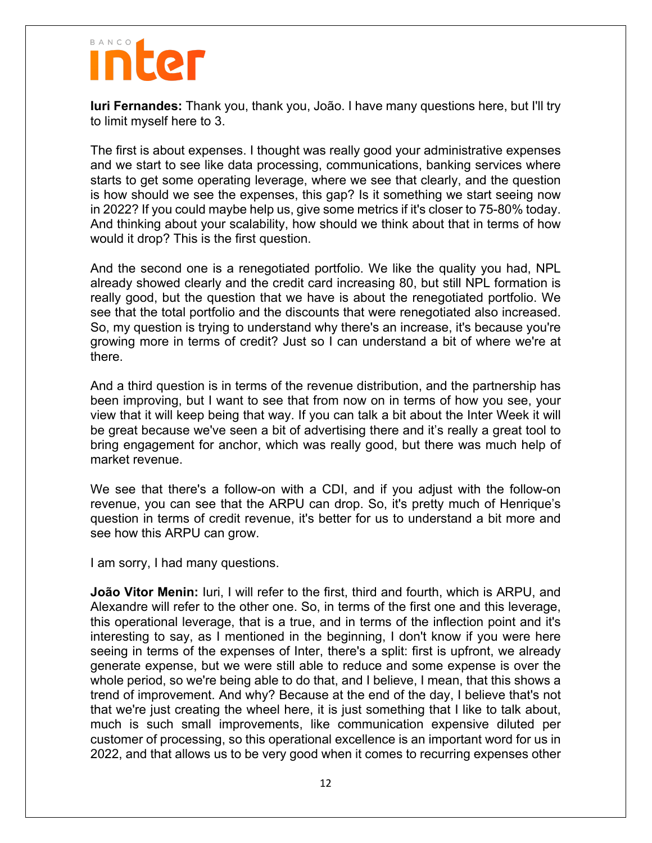**Iuri Fernandes:** Thank you, thank you, João. I have many questions here, but I'll try to limit myself here to 3.

The first is about expenses. I thought was really good your administrative expenses and we start to see like data processing, communications, banking services where starts to get some operating leverage, where we see that clearly, and the question is how should we see the expenses, this gap? Is it something we start seeing now in 2022? If you could maybe help us, give some metrics if it's closer to 75-80% today. And thinking about your scalability, how should we think about that in terms of how would it drop? This is the first question.

And the second one is a renegotiated portfolio. We like the quality you had, NPL already showed clearly and the credit card increasing 80, but still NPL formation is really good, but the question that we have is about the renegotiated portfolio. We see that the total portfolio and the discounts that were renegotiated also increased. So, my question is trying to understand why there's an increase, it's because you're growing more in terms of credit? Just so I can understand a bit of where we're at there.

And a third question is in terms of the revenue distribution, and the partnership has been improving, but I want to see that from now on in terms of how you see, your view that it will keep being that way. If you can talk a bit about the Inter Week it will be great because we've seen a bit of advertising there and it's really a great tool to bring engagement for anchor, which was really good, but there was much help of market revenue.

We see that there's a follow-on with a CDI, and if you adjust with the follow-on revenue, you can see that the ARPU can drop. So, it's pretty much of Henrique's question in terms of credit revenue, it's better for us to understand a bit more and see how this ARPU can grow.

I am sorry, I had many questions.

**João Vitor Menin:** Iuri, I will refer to the first, third and fourth, which is ARPU, and Alexandre will refer to the other one. So, in terms of the first one and this leverage, this operational leverage, that is a true, and in terms of the inflection point and it's interesting to say, as I mentioned in the beginning, I don't know if you were here seeing in terms of the expenses of Inter, there's a split: first is upfront, we already generate expense, but we were still able to reduce and some expense is over the whole period, so we're being able to do that, and I believe, I mean, that this shows a trend of improvement. And why? Because at the end of the day, I believe that's not that we're just creating the wheel here, it is just something that I like to talk about, much is such small improvements, like communication expensive diluted per customer of processing, so this operational excellence is an important word for us in 2022, and that allows us to be very good when it comes to recurring expenses other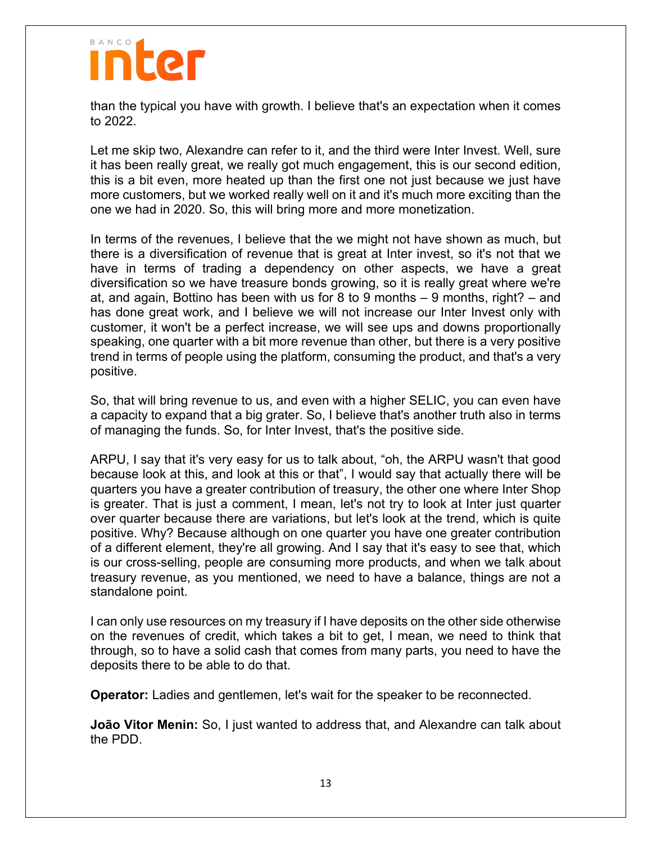

than the typical you have with growth. I believe that's an expectation when it comes to 2022.

Let me skip two, Alexandre can refer to it, and the third were Inter Invest. Well, sure it has been really great, we really got much engagement, this is our second edition, this is a bit even, more heated up than the first one not just because we just have more customers, but we worked really well on it and it's much more exciting than the one we had in 2020. So, this will bring more and more monetization.

In terms of the revenues, I believe that the we might not have shown as much, but there is a diversification of revenue that is great at Inter invest, so it's not that we have in terms of trading a dependency on other aspects, we have a great diversification so we have treasure bonds growing, so it is really great where we're at, and again, Bottino has been with us for 8 to 9 months – 9 months, right? – and has done great work, and I believe we will not increase our Inter Invest only with customer, it won't be a perfect increase, we will see ups and downs proportionally speaking, one quarter with a bit more revenue than other, but there is a very positive trend in terms of people using the platform, consuming the product, and that's a very positive.

So, that will bring revenue to us, and even with a higher SELIC, you can even have a capacity to expand that a big grater. So, I believe that's another truth also in terms of managing the funds. So, for Inter Invest, that's the positive side.

ARPU, I say that it's very easy for us to talk about, "oh, the ARPU wasn't that good because look at this, and look at this or that", I would say that actually there will be quarters you have a greater contribution of treasury, the other one where Inter Shop is greater. That is just a comment, I mean, let's not try to look at Inter just quarter over quarter because there are variations, but let's look at the trend, which is quite positive. Why? Because although on one quarter you have one greater contribution of a different element, they're all growing. And I say that it's easy to see that, which is our cross-selling, people are consuming more products, and when we talk about treasury revenue, as you mentioned, we need to have a balance, things are not a standalone point.

I can only use resources on my treasury if I have deposits on the other side otherwise on the revenues of credit, which takes a bit to get, I mean, we need to think that through, so to have a solid cash that comes from many parts, you need to have the deposits there to be able to do that.

**Operator:** Ladies and gentlemen, let's wait for the speaker to be reconnected.

**João Vitor Menin:** So, I just wanted to address that, and Alexandre can talk about the PDD.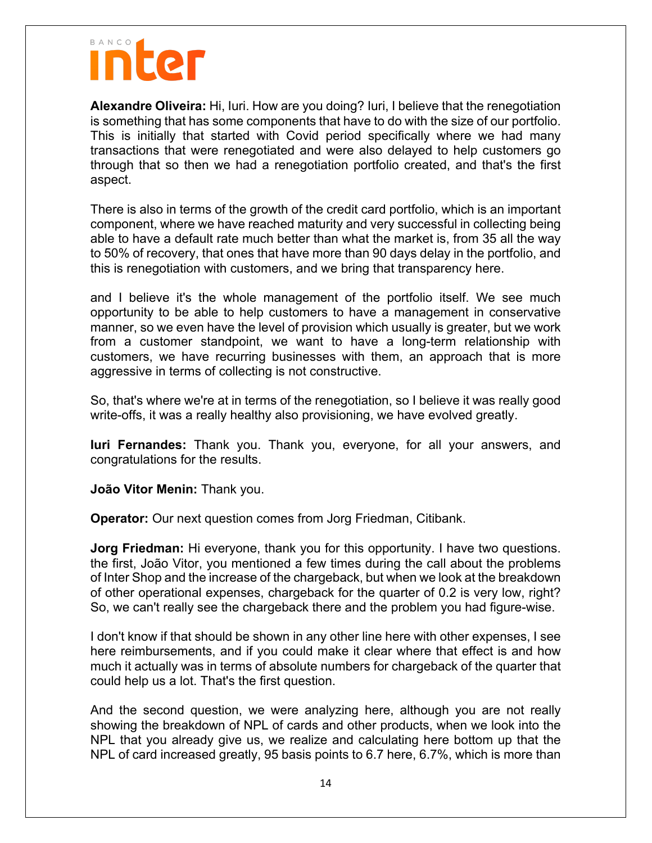**Alexandre Oliveira:** Hi, Iuri. How are you doing? Iuri, I believe that the renegotiation is something that has some components that have to do with the size of our portfolio. This is initially that started with Covid period specifically where we had many transactions that were renegotiated and were also delayed to help customers go through that so then we had a renegotiation portfolio created, and that's the first aspect.

There is also in terms of the growth of the credit card portfolio, which is an important component, where we have reached maturity and very successful in collecting being able to have a default rate much better than what the market is, from 35 all the way to 50% of recovery, that ones that have more than 90 days delay in the portfolio, and this is renegotiation with customers, and we bring that transparency here.

and I believe it's the whole management of the portfolio itself. We see much opportunity to be able to help customers to have a management in conservative manner, so we even have the level of provision which usually is greater, but we work from a customer standpoint, we want to have a long-term relationship with customers, we have recurring businesses with them, an approach that is more aggressive in terms of collecting is not constructive.

So, that's where we're at in terms of the renegotiation, so I believe it was really good write-offs, it was a really healthy also provisioning, we have evolved greatly.

**Iuri Fernandes:** Thank you. Thank you, everyone, for all your answers, and congratulations for the results.

**João Vitor Menin:** Thank you.

**Operator:** Our next question comes from Jorg Friedman, Citibank.

**Jorg Friedman:** Hi everyone, thank you for this opportunity. I have two questions. the first, João Vitor, you mentioned a few times during the call about the problems of Inter Shop and the increase of the chargeback, but when we look at the breakdown of other operational expenses, chargeback for the quarter of 0.2 is very low, right? So, we can't really see the chargeback there and the problem you had figure-wise.

I don't know if that should be shown in any other line here with other expenses, I see here reimbursements, and if you could make it clear where that effect is and how much it actually was in terms of absolute numbers for chargeback of the quarter that could help us a lot. That's the first question.

And the second question, we were analyzing here, although you are not really showing the breakdown of NPL of cards and other products, when we look into the NPL that you already give us, we realize and calculating here bottom up that the NPL of card increased greatly, 95 basis points to 6.7 here, 6.7%, which is more than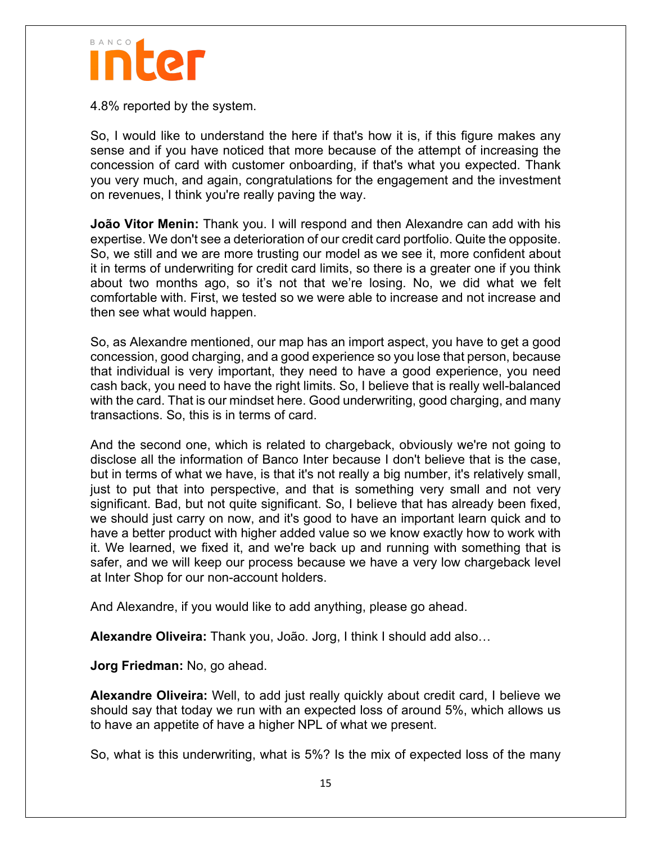

4.8% reported by the system.

So, I would like to understand the here if that's how it is, if this figure makes any sense and if you have noticed that more because of the attempt of increasing the concession of card with customer onboarding, if that's what you expected. Thank you very much, and again, congratulations for the engagement and the investment on revenues, I think you're really paving the way.

**João Vitor Menin:** Thank you. I will respond and then Alexandre can add with his expertise. We don't see a deterioration of our credit card portfolio. Quite the opposite. So, we still and we are more trusting our model as we see it, more confident about it in terms of underwriting for credit card limits, so there is a greater one if you think about two months ago, so it's not that we're losing. No, we did what we felt comfortable with. First, we tested so we were able to increase and not increase and then see what would happen.

So, as Alexandre mentioned, our map has an import aspect, you have to get a good concession, good charging, and a good experience so you lose that person, because that individual is very important, they need to have a good experience, you need cash back, you need to have the right limits. So, I believe that is really well-balanced with the card. That is our mindset here. Good underwriting, good charging, and many transactions. So, this is in terms of card.

And the second one, which is related to chargeback, obviously we're not going to disclose all the information of Banco Inter because I don't believe that is the case, but in terms of what we have, is that it's not really a big number, it's relatively small, just to put that into perspective, and that is something very small and not very significant. Bad, but not quite significant. So, I believe that has already been fixed, we should just carry on now, and it's good to have an important learn quick and to have a better product with higher added value so we know exactly how to work with it. We learned, we fixed it, and we're back up and running with something that is safer, and we will keep our process because we have a very low chargeback level at Inter Shop for our non-account holders.

And Alexandre, if you would like to add anything, please go ahead.

**Alexandre Oliveira:** Thank you, João. Jorg, I think I should add also…

**Jorg Friedman:** No, go ahead.

**Alexandre Oliveira:** Well, to add just really quickly about credit card, I believe we should say that today we run with an expected loss of around 5%, which allows us to have an appetite of have a higher NPL of what we present.

So, what is this underwriting, what is 5%? Is the mix of expected loss of the many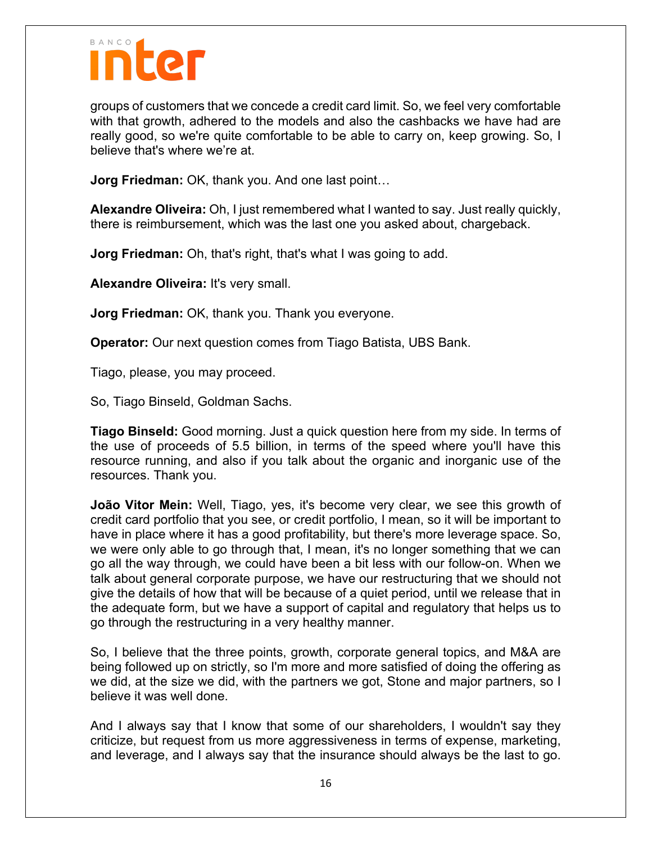

groups of customers that we concede a credit card limit. So, we feel very comfortable with that growth, adhered to the models and also the cashbacks we have had are really good, so we're quite comfortable to be able to carry on, keep growing. So, I believe that's where we're at.

**Jorg Friedman:** OK, thank you. And one last point…

**Alexandre Oliveira:** Oh, I just remembered what I wanted to say. Just really quickly, there is reimbursement, which was the last one you asked about, chargeback.

**Jorg Friedman:** Oh, that's right, that's what I was going to add.

**Alexandre Oliveira:** It's very small.

**Jorg Friedman:** OK, thank you. Thank you everyone.

**Operator:** Our next question comes from Tiago Batista, UBS Bank.

Tiago, please, you may proceed.

So, Tiago Binseld, Goldman Sachs.

**Tiago Binseld:** Good morning. Just a quick question here from my side. In terms of the use of proceeds of 5.5 billion, in terms of the speed where you'll have this resource running, and also if you talk about the organic and inorganic use of the resources. Thank you.

**João Vitor Mein:** Well, Tiago, yes, it's become very clear, we see this growth of credit card portfolio that you see, or credit portfolio, I mean, so it will be important to have in place where it has a good profitability, but there's more leverage space. So, we were only able to go through that, I mean, it's no longer something that we can go all the way through, we could have been a bit less with our follow-on. When we talk about general corporate purpose, we have our restructuring that we should not give the details of how that will be because of a quiet period, until we release that in the adequate form, but we have a support of capital and regulatory that helps us to go through the restructuring in a very healthy manner.

So, I believe that the three points, growth, corporate general topics, and M&A are being followed up on strictly, so I'm more and more satisfied of doing the offering as we did, at the size we did, with the partners we got, Stone and major partners, so I believe it was well done.

And I always say that I know that some of our shareholders, I wouldn't say they criticize, but request from us more aggressiveness in terms of expense, marketing, and leverage, and I always say that the insurance should always be the last to go.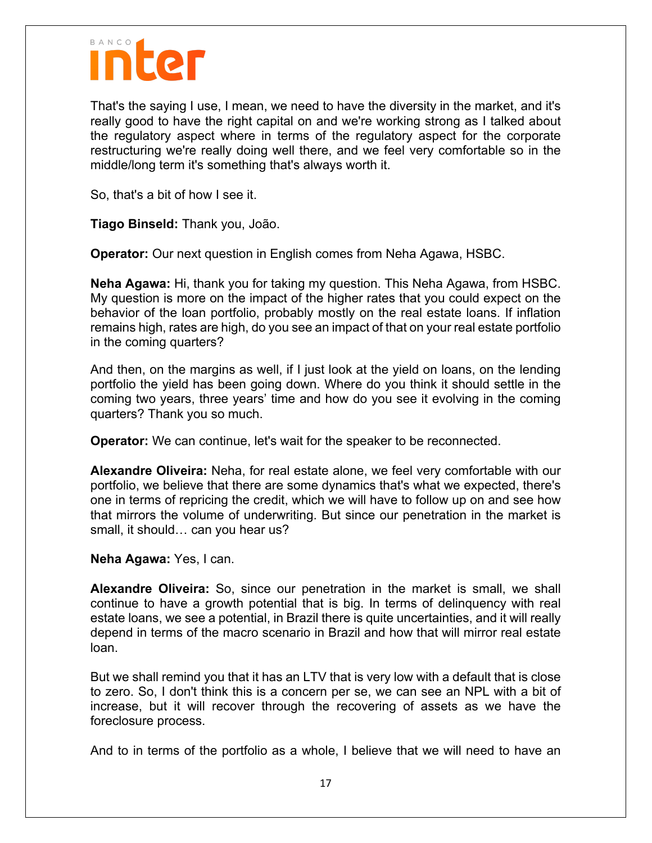

That's the saying I use, I mean, we need to have the diversity in the market, and it's really good to have the right capital on and we're working strong as I talked about the regulatory aspect where in terms of the regulatory aspect for the corporate restructuring we're really doing well there, and we feel very comfortable so in the middle/long term it's something that's always worth it.

So, that's a bit of how I see it.

**Tiago Binseld:** Thank you, João.

**Operator:** Our next question in English comes from Neha Agawa, HSBC.

**Neha Agawa:** Hi, thank you for taking my question. This Neha Agawa, from HSBC. My question is more on the impact of the higher rates that you could expect on the behavior of the loan portfolio, probably mostly on the real estate loans. If inflation remains high, rates are high, do you see an impact of that on your real estate portfolio in the coming quarters?

And then, on the margins as well, if I just look at the yield on loans, on the lending portfolio the yield has been going down. Where do you think it should settle in the coming two years, three years' time and how do you see it evolving in the coming quarters? Thank you so much.

**Operator:** We can continue, let's wait for the speaker to be reconnected.

**Alexandre Oliveira:** Neha, for real estate alone, we feel very comfortable with our portfolio, we believe that there are some dynamics that's what we expected, there's one in terms of repricing the credit, which we will have to follow up on and see how that mirrors the volume of underwriting. But since our penetration in the market is small, it should… can you hear us?

**Neha Agawa:** Yes, I can.

**Alexandre Oliveira:** So, since our penetration in the market is small, we shall continue to have a growth potential that is big. In terms of delinquency with real estate loans, we see a potential, in Brazil there is quite uncertainties, and it will really depend in terms of the macro scenario in Brazil and how that will mirror real estate loan.

But we shall remind you that it has an LTV that is very low with a default that is close to zero. So, I don't think this is a concern per se, we can see an NPL with a bit of increase, but it will recover through the recovering of assets as we have the foreclosure process.

And to in terms of the portfolio as a whole, I believe that we will need to have an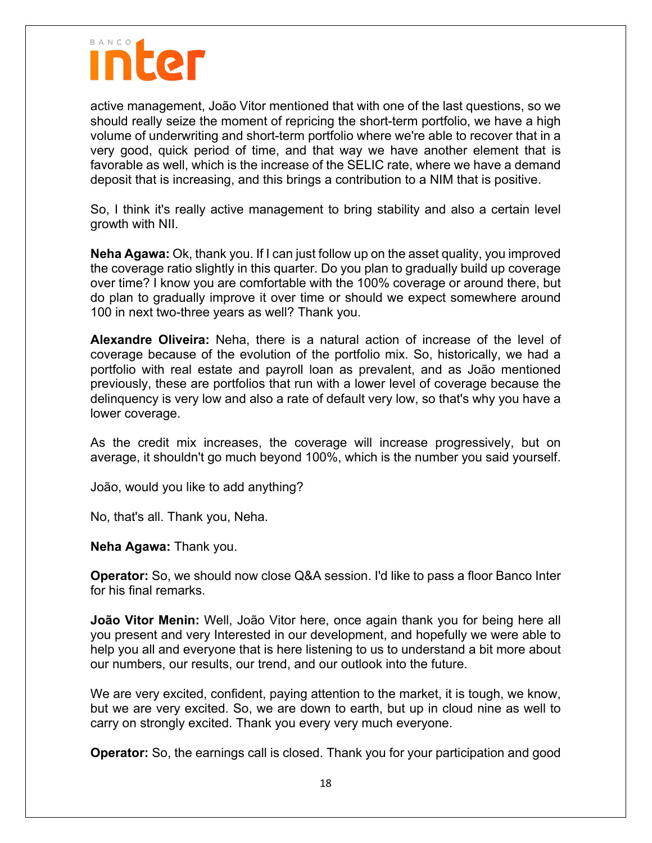

active management, João Vitor mentioned that with one of the last questions, so we should really seize the moment of repricing the short-term portfolio, we have a high volume of underwriting and short-term portfolio where we're able to recover that in a very good, quick period of time, and that way we have another element that is favorable as well, which is the increase of the SELIC rate, where we have a demand deposit that is increasing, and this brings a contribution to a NIM that is positive.

So, I think it's really active management to bring stability and also a certain level growth with NII.

**Neha Agawa:** Ok, thank you. If I can just follow up on the asset quality, you improved the coverage ratio slightly in this quarter. Do you plan to gradually build up coverage over time? I know you are comfortable with the 100% coverage or around there, but do plan to gradually improve it over time or should we expect somewhere around 100 in next two-three years as well? Thank you.

**Alexandre Oliveira:** Neha, there is a natural action of increase of the level of coverage because of the evolution of the portfolio mix. So, historically, we had a portfolio with real estate and payroll loan as prevalent, and as João mentioned previously, these are portfolios that run with a lower level of coverage because the delinquency is very low and also a rate of default very low, so that's why you have a lower coverage.

As the credit mix increases, the coverage will increase progressively, but on average, it shouldn't go much beyond 100%, which is the number you said yourself.

João, would you like to add anything?

No, that's all. Thank you, Neha.

**Neha Agawa:** Thank you.

**Operator:** So, we should now close Q&A session. I'd like to pass a floor Banco Inter for his final remarks.

**João Vitor Menin:** Well, João Vitor here, once again thank you for being here all you present and very Interested in our development, and hopefully we were able to help you all and everyone that is here listening to us to understand a bit more about our numbers, our results, our trend, and our outlook into the future.

We are very excited, confident, paying attention to the market, it is tough, we know, but we are very excited. So, we are down to earth, but up in cloud nine as well to carry on strongly excited. Thank you every very much everyone.

**Operator:** So, the earnings call is closed. Thank you for your participation and good